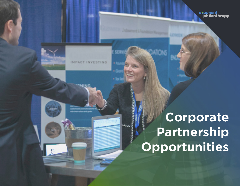

**MPA** 

建新

**Corporate Partnership Opportunities** 

exponent<br>complianthropy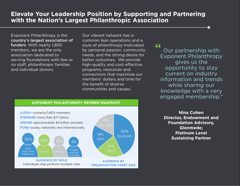## **Elevate Your Leadership Position by Supporting and Partnering with the Nation's Largest Philanthropic Association**

Exponent Philanthropy is the country's largest association of funders. With nearly 1,800 members, we are the only association dedicated to serving foundations with few or no staff, philanthropic families and individual donors.

Our vibrant network has in common lean operations and a style of philanthropy motivated by personal passion, community needs, and the strong desire for better outcomes. We provide high-quality and cost-effective programs, resources and connections that maximize our members' dollars and time for the benefit of diverse communities and causes.

 $cc$ 

Our partnership with Exponent Philanthropy gives us the opportunity to stay current on industry information and trends while sharing our knowledge with a very engaged membership."

**Nina Cohen Director, Endowment and Foundation Advisory, Glenmede; Platinum Level Sustaining Partner**

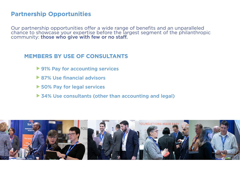# **Partner**s**hip Opportunities**

Our partnership opportunities offer a wide range of benefits and an unparalleled chance to showcase your expertise before the largest segment of the philanthropic community: those who give with few or no staff.

## **MEMBERS BY USE OF CONSULTANTS**

- ▶ 91% Pay for accounting services
- ▶ 87% Use financial advisors
- ▶ 50% Pay for legal services
- ▶ 34% Use consultants (other than accounting and legal)

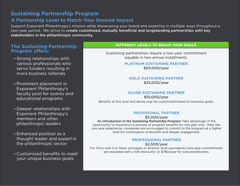### **Sustaining Partnership Program**

### **A Partnership Level to Match Your Desired Impact**

Support Exponent Philanthropy's mission while showcasing your brand and expertise in multiple ways throughout a two-year period. We strive to create customized, mutually beneficial and longstanding partnerships with key stakeholders in the philanthropic community.

### **The Sustaining Partnership Program offers:**

- Strong relationships with various professionals who serve funders resulting in more business referrals
- Prominent placement in Exponent Philanthropy's faculty pool for events and educational programs
- Deeper relationships with Exponent Philanthropy's members and other philanthropic leaders
- Enhanced position as a thought leader and expert in the philanthropic sector
- Customized benefits to meet your unique business goals.

#### **DIFFERENT LEVELS TO REACH YOUR GOALS**

Sustaining partnerships require a two-year commitment payable in two annual installments.

> **PLATINUM SUSTAINING PARTNER** \$50,000/year

#### **GOLD SUSTAINING PARTNER** \$25,000/year

#### **SILVER SUSTAINING PARTNER**

\$10,000/year Benefits at this level and above may be customized based on business goals.

#### **PROVISIONAL PARTNER**

\$5,000/year

An Introduction to the Sustaining Partnership Program! Take advantage of the opportunity to experience a preview of program benefits for one year only. After the one year experience, companies are encouraged to commit to the program at a higher level for continuation of benefits and deeper engagement.

#### **PROFESSIONAL PARTNER**

\$2,500/year For firms with 5 or fewer principals or director-level equivalents (two-year commitments are rewarded with a 10% discount): or \$780/year for sole practitioners.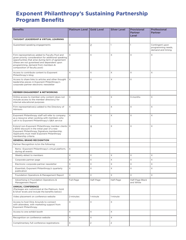# **Exponent Philanthropy's Sustaining Partnership Program Benefits**

| <b>Benefits</b>                                                                                                                                                                                                                                                                  | Platinum Level Gold Level |                | <b>Silver Level</b> | <b>Provisional</b><br><b>Partner</b><br>Level | Professional<br><b>Partner</b>                              |
|----------------------------------------------------------------------------------------------------------------------------------------------------------------------------------------------------------------------------------------------------------------------------------|---------------------------|----------------|---------------------|-----------------------------------------------|-------------------------------------------------------------|
| THOUGHT LEADERSHIP & VIRTUAL LEARNING                                                                                                                                                                                                                                            |                           |                |                     |                                               |                                                             |
| Guaranteed speaking engagements                                                                                                                                                                                                                                                  | $\overline{4}$            | $\overline{2}$ | $\mathbf{1}$        | $\mathbf{1}$                                  | Contingent upon<br>programming needs,<br>demand and timing. |
| Firm representatives added to Faculty Pool and<br>given priority consideration for additional speaking<br>opportunities that arise during term of agreement<br>(these are not guranteed and dependent upon<br>programming, demand from members &<br>composition of faculty pool) | $\times$                  | X              | X                   | X                                             | X                                                           |
| Access to contribute content to Exponent<br>Philanthropy's blog                                                                                                                                                                                                                  | X                         | X              | X                   | X                                             | $\times$                                                    |
| Access to share links to articles and other thought<br>leadership pieces in Exponent Philanthropy's<br>corporate partner electronic newsletter                                                                                                                                   | $\times$                  | X              | X                   | $\times$                                      |                                                             |
| <b>MEMBER ENGAGEMENT &amp; NETWORKING</b>                                                                                                                                                                                                                                        |                           |                |                     |                                               |                                                             |
| Online access to member-only content (does not<br>include access to the member directory) for<br>internal educational purposes                                                                                                                                                   | $\mathsf X$               | X              | $\times$            | 3-months                                      | $\times$                                                    |
| Firm representative(s) added to the Directory of<br><b>Advisors</b>                                                                                                                                                                                                              | $\times$                  | $\times$       | $\times$            | $\times$                                      | $\times$                                                    |
| Exponent Philanthropy staff will refer to company<br>as a resource when working with members who<br>call in to Exponent Philanthropy's Q&A service                                                                                                                               | $\times$                  | $\times$       | X                   | X                                             | $\times$                                                    |
| Extend non-Exponent Philanthropy member clients   X<br>a \$100 discount in the initial year of a new<br>Exponent Philanthropy Signature membership.<br>Applicants must meet Exponent Philanthropy<br>membership criteria.                                                        |                           | $\times$       | X                   | X                                             | $\times$                                                    |
| <b>GENERAL BRAND RECOGNITION</b>                                                                                                                                                                                                                                                 |                           |                |                     |                                               |                                                             |
| Partner Recognition in/on the following:                                                                                                                                                                                                                                         |                           |                |                     |                                               |                                                             |
| Remo - Exponent Philanthropy's virtual platform,<br>during all events                                                                                                                                                                                                            | X                         |                |                     |                                               |                                                             |
| Weekly eblast to members                                                                                                                                                                                                                                                         | $\times$                  | X              | X                   | X                                             | $\times$                                                    |
| Corporate partner page                                                                                                                                                                                                                                                           | X                         | X              | X                   | X                                             | X                                                           |
| Electronic corporate partner newsletter                                                                                                                                                                                                                                          | $\times$                  | $\times$       | $\times$            | X                                             | $\times$                                                    |
| Essentials, Exponent Philanthropy's quarterly<br>publication                                                                                                                                                                                                                     | X                         | X              | X                   | X                                             | $\times$                                                    |
| Foundation Operations & Management Report                                                                                                                                                                                                                                        | X                         | $\times$       | $\times$            | $\times$                                      | $\times$                                                    |
| Advertising in Foundation Operations &<br>Management Report                                                                                                                                                                                                                      | Full-Page                 | Half-Page      | Half-Page           | Half-Page Black<br>and White                  |                                                             |
| <b>ANNUAL CONFERENCE</b><br>(Packages are customized at the Platinum, Gold<br>& Silver levels and include the benefits below)                                                                                                                                                    |                           |                |                     |                                               |                                                             |
| Video placement on conference website                                                                                                                                                                                                                                            | 2-minutes                 | 1-minute       | 1-minute            |                                               |                                                             |
| Access to host Dine Arounds to connect<br>with attendees, with marketing support from<br><b>Exponent Philanthropy</b>                                                                                                                                                            | X                         | X              | X                   |                                               |                                                             |
| Access to one exhibit booth                                                                                                                                                                                                                                                      | $\times$                  | $\times$       | X                   |                                               |                                                             |
| Recognition on conference website                                                                                                                                                                                                                                                | $\mathsf X$               | $\mathsf X$    | X                   |                                               |                                                             |
| Complimentary full conference registrations                                                                                                                                                                                                                                      | 3                         | $\overline{2}$ | $\overline{2}$      |                                               |                                                             |